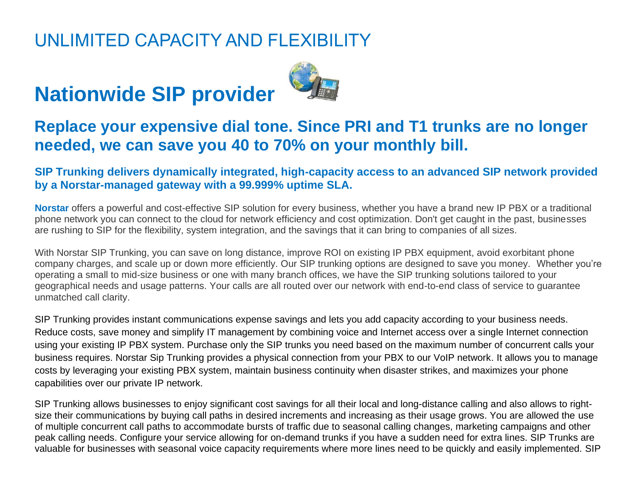## UNLIMITED CAPACITY AND FLEXIBILITY

## **Nationwide SIP provider**



#### **Replace your expensive dial tone. Since PRI and T1 trunks are no longer needed, we can save you 40 to 70% on your monthly bill.**

#### **SIP Trunking delivers dynamically integrated, high-capacity access to an advanced SIP network provided by a Norstar-managed gateway with a 99.999% uptime SLA.**

**Norstar** offers a powerful and cost-effective SIP solution for every business, whether you have a brand new IP PBX or a traditional phone network you can connect to the cloud for network efficiency and cost optimization. Don't get caught in the past, businesses are rushing to SIP for the flexibility, system integration, and the savings that it can bring to companies of all sizes.

With Norstar SIP Trunking, you can save on long distance, improve ROI on existing IP PBX equipment, avoid exorbitant phone company charges, and scale up or down more efficiently. Our SIP trunking options are designed to save you money. Whether you're operating a small to mid-size business or one with many branch offices, we have the SIP trunking solutions tailored to your geographical needs and usage patterns. Your calls are all routed over our network with end-to-end class of service to guarantee unmatched call clarity.

SIP Trunking provides instant communications expense savings and lets you add capacity according to your business needs. Reduce costs, save money and simplify IT management by combining voice and Internet access over a single Internet connection using your existing IP PBX system. Purchase only the SIP trunks you need based on the maximum number of concurrent calls your business requires. Norstar Sip Trunking provides a physical connection from your PBX to our VoIP network. It allows you to manage costs by leveraging your existing PBX system, maintain business continuity when disaster strikes, and maximizes your phone capabilities over our private IP network.

SIP Trunking allows businesses to enjoy significant cost savings for all their local and long-distance calling and also allows to rightsize their communications by buying call paths in desired increments and increasing as their usage grows. You are allowed the use of multiple concurrent call paths to accommodate bursts of traffic due to seasonal calling changes, marketing campaigns and other peak calling needs. Configure your service allowing for on-demand trunks if you have a sudden need for extra lines. SIP Trunks are valuable for businesses with seasonal voice capacity requirements where more lines need to be quickly and easily implemented. SIP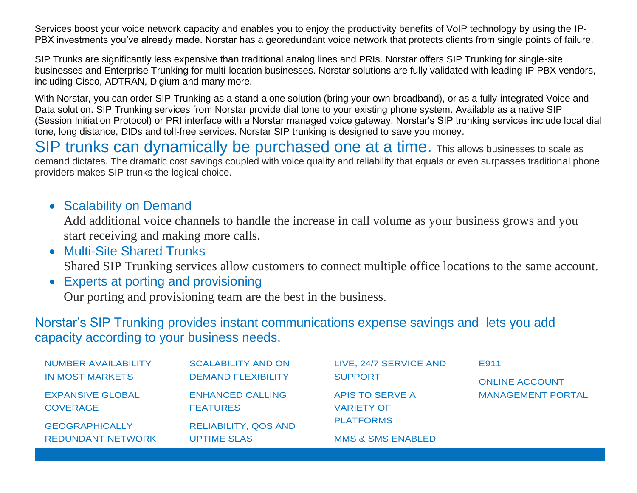Services boost your voice network capacity and enables you to enjoy the productivity benefits of VoIP technology by using the IP-PBX investments you've already made. Norstar has a georedundant voice network that protects clients from single points of failure.

SIP Trunks are significantly less expensive than traditional analog lines and PRIs. Norstar offers SIP Trunking for single-site businesses and Enterprise Trunking for multi-location businesses. Norstar solutions are fully validated with leading IP PBX vendors, including Cisco, ADTRAN, Digium and many more.

With Norstar, you can order SIP Trunking as a stand-alone solution (bring your own broadband), or as a fully-integrated Voice and Data solution. SIP Trunking services from Norstar provide dial tone to your existing phone system. Available as a native SIP (Session Initiation Protocol) or PRI interface with a Norstar managed voice gateway. Norstar's SIP trunking services include local dial tone, long distance, DIDs and toll-free services. Norstar SIP trunking is designed to save you money.

SIP trunks can dynamically be purchased one at a time. This allows businesses to scale as demand dictates. The dramatic cost savings coupled with voice quality and reliability that equals or even surpasses traditional phone providers makes SIP trunks the logical choice.

#### • Scalability on Demand

Add additional voice channels to handle the increase in call volume as your business grows and you start receiving and making more calls.

• Multi-Site Shared Trunks

l

Shared SIP Trunking services allow customers to connect multiple office locations to the same account.

• Experts at porting and provisioning

Our porting and provisioning team are the best in the business.

#### Norstar's SIP Trunking provides instant communications expense savings and lets you add capacity according to your business needs.

| <b>NUMBER AVAILABILITY</b> | <b>SCALABILITY AND ON</b>   | LIVE, 24/7 SERVICE AND       | E911                     |
|----------------------------|-----------------------------|------------------------------|--------------------------|
| <b>IN MOST MARKETS</b>     | <b>DEMAND FLEXIBILITY</b>   | <b>SUPPORT</b>               | <b>ONLINE ACCOUNT</b>    |
| <b>EXPANSIVE GLOBAL</b>    | <b>ENHANCED CALLING</b>     | APIS TO SERVE A              | <b>MANAGEMENT PORTAL</b> |
| <b>COVERAGE</b>            | <b>FEATURES</b>             | <b>VARIETY OF</b>            |                          |
| <b>GEOGRAPHICALLY</b>      | <b>RELIABILITY, QOS AND</b> | <b>PLATFORMS</b>             |                          |
| <b>REDUNDANT NETWORK</b>   | <b>UPTIME SLAS</b>          | <b>MMS &amp; SMS ENABLED</b> |                          |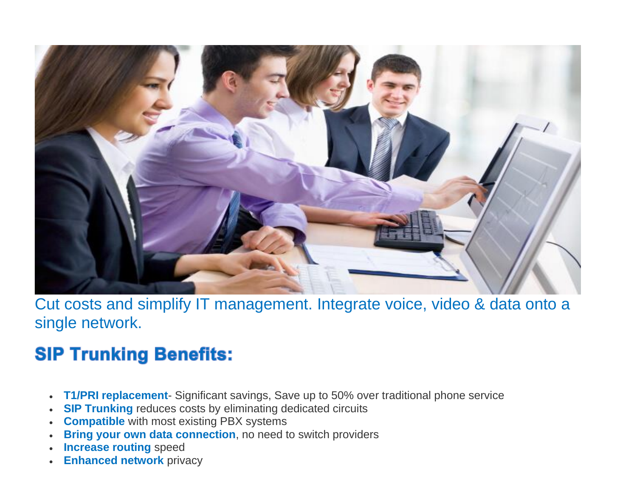

Cut costs and simplify IT management. Integrate voice, video & data onto a single network.

## **SIP Trunking Benefits:**

- **T1/PRI replacement** Significant savings, Save up to 50% over traditional phone service
- **SIP Trunking** reduces costs by eliminating dedicated circuits
- **Compatible** with most existing PBX systems
- **Bring your own data connection**, no need to switch providers
- **Increase routing** speed
- **Enhanced network** privacy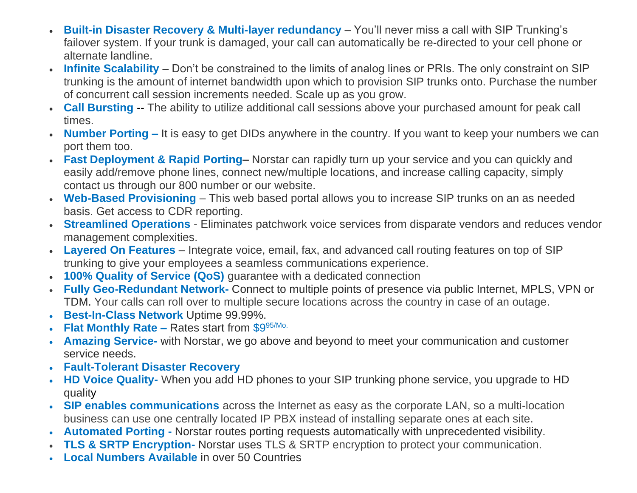- **Built-in Disaster Recovery & Multi-layer redundancy** You'll never miss a call with SIP Trunking's failover system. If your trunk is damaged, your call can automatically be re-directed to your cell phone or alternate landline.
- **Infinite Scalability** Don't be constrained to the limits of analog lines or PRIs. The only constraint on SIP trunking is the amount of internet bandwidth upon which to provision SIP trunks onto. Purchase the number of concurrent call session increments needed. Scale up as you grow.
- **Call Bursting** -- The ability to utilize additional call sessions above your purchased amount for peak call times.
- **Number Porting –** It is easy to get DIDs anywhere in the country. If you want to keep your numbers we can port them too.
- **Fast Deployment & Rapid Porting–** Norstar can rapidly turn up your service and you can quickly and easily add/remove phone lines, connect new/multiple locations, and increase calling capacity, simply contact us through our 800 number or our website.
- **Web-Based Provisioning** This web based portal allows you to increase SIP trunks on an as needed basis. Get access to CDR reporting.
- **Streamlined Operations** Eliminates patchwork voice services from disparate vendors and reduces vendor management complexities.
- **Layered On Features** Integrate voice, email, fax, and advanced call routing features on top of SIP trunking to give your employees a seamless communications experience.
- **100% Quality of Service (QoS)** guarantee with a dedicated connection
- **Fully Geo-Redundant Network-** Connect to multiple points of presence via public Internet, MPLS, VPN or TDM. Your calls can roll over to multiple secure locations across the country in case of an outage.
- **Best-In-Class Network** Uptime 99.99%.
- **Flat Monthly Rate –** Rates start from \$995/Mo.
- **Amazing Service-** with Norstar, we go above and beyond to meet your communication and customer service needs.
- **Fault-Tolerant Disaster Recovery**
- **HD Voice Quality-** When you add HD phones to your SIP trunking phone service, you upgrade to HD quality
- **SIP enables communications** across the Internet as easy as the corporate LAN, so a multi-location business can use one centrally located IP PBX instead of installing separate ones at each site.
- **Automated Porting -** Norstar routes porting requests automatically with unprecedented visibility.
- **TLS & SRTP Encryption-** Norstar uses TLS & SRTP encryption to protect your communication.
- **Local Numbers Available** in over 50 Countries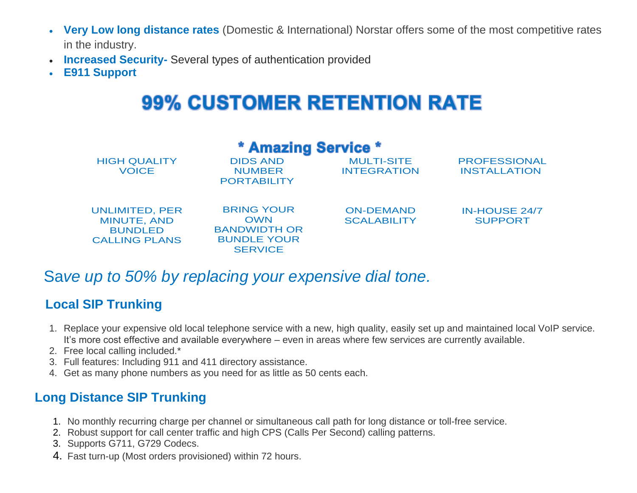- **Very Low long distance rates** (Domestic & International) Norstar offers some of the most competitive rates in the industry.
- **Increased Security-** Several types of authentication provided
- **E911 Support**

## **99% CUSTOMER RETENTION RATE**

| <b>* Amazing Service *</b>                                                     |                                                                                                |                                         |                                            |  |  |
|--------------------------------------------------------------------------------|------------------------------------------------------------------------------------------------|-----------------------------------------|--------------------------------------------|--|--|
| <b>HIGH QUALITY</b><br><b>VOICE</b>                                            | <b>DIDS AND</b><br><b>NUMBER</b><br><b>PORTABILITY</b>                                         | <b>MULTI-SITE</b><br><b>INTEGRATION</b> | <b>PROFESSIONAL</b><br><b>INSTALLATION</b> |  |  |
| <b>UNLIMITED, PER</b><br>MINUTE, AND<br><b>BUNDLED</b><br><b>CALLING PLANS</b> | <b>BRING YOUR</b><br><b>OWN</b><br><b>BANDWIDTH OR</b><br><b>BUNDLE YOUR</b><br><b>SERVICE</b> | <b>ON-DEMAND</b><br><b>SCALABILITY</b>  | <b>IN-HOUSE 24/7</b><br><b>SUPPORT</b>     |  |  |

#### Sa*ve up to 50% by replacing your expensive dial tone.*

#### **Local SIP Trunking**

- 1. Replace your expensive old local telephone service with a new, high quality, easily set up and maintained local VoIP service. It's more cost effective and available everywhere – even in areas where few services are currently available.
- 2. Free local calling included.\*
- 3. Full features: Including 911 and 411 directory assistance.
- 4. Get as many phone numbers as you need for as little as 50 cents each.

#### **Long Distance SIP Trunking**

- 1. No monthly recurring charge per channel or simultaneous call path for long distance or toll-free service.
- 2. Robust support for call center traffic and high CPS (Calls Per Second) calling patterns.
- 3. Supports G711, G729 Codecs.
- 4. Fast turn-up (Most orders provisioned) within 72 hours.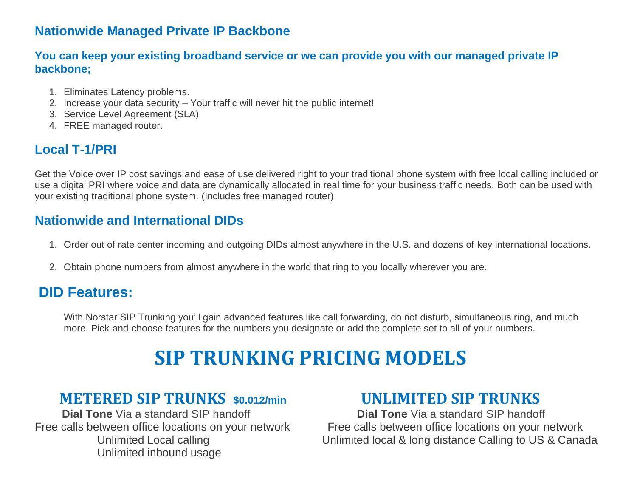#### **Nationwide Managed Private IP Backbone**

#### **You can keep your existing broadband service or we can provide you with our managed private IP backbone;**

- 1. Eliminates Latency problems.
- 2. Increase your data security Your traffic will never hit the public internet!
- 3. Service Level Agreement (SLA)
- 4. FREE managed router.

#### **Local T-1/PRI**

Get the Voice over IP cost savings and ease of use delivered right to your traditional phone system with free local calling included or use a digital PRI where voice and data are dynamically allocated in real time for your business traffic needs. Both can be used with your existing traditional phone system. (Includes free managed router).

#### **Nationwide and International DIDs**

- 1. Order out of rate center incoming and outgoing DIDs almost anywhere in the U.S. and dozens of key international locations.
- 2. Obtain phone numbers from almost anywhere in the world that ring to you locally wherever you are.

#### **DID Features:**

With Norstar SIP Trunking you'll gain advanced features like call forwarding, do not disturb, simultaneous ring, and much more. Pick-and-choose features for the numbers you designate or add the complete set to all of your numbers.

## **SIP TRUNKING PRICING MODELS**

#### **METERED SIP TRUNKS \$0.012/min UNLIMITED SIP TRUNKS**

**Dial Tone** Via a standard SIP handoff **Dial Tone** Via a standard SIP handoff Unlimited inbound usage

Free calls between office locations on your network Free calls between office locations on your network Unlimited Local calling Unlimited local & long distance Calling to US & Canada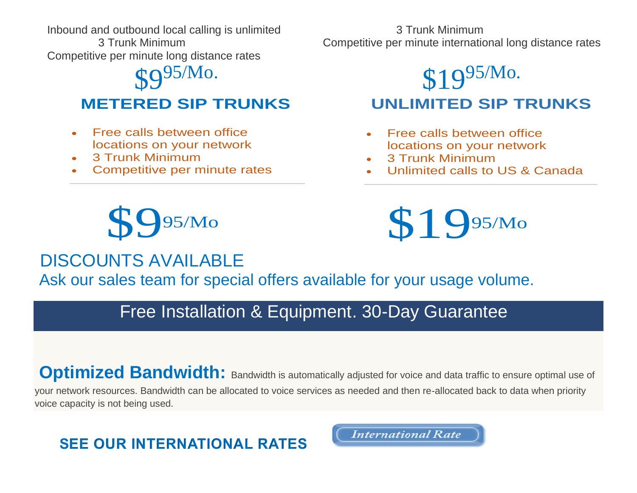Inbound and outbound local calling is unlimited 3 Trunk Minimum

Competitive per minute long distance rates

 $\mathbb{C}Q$ 95/Mo.

#### **METERED SIP TRUNKS**

- Free calls between office locations on your network
- 3 Trunk Minimum
- Competitive per minute rates

3 Trunk Minimum Competitive per minute international long distance rates

## \$19<sup>95/Mo.</sup>  **UNLIMITED SIP TRUNKS**

- Free calls between office locations on your network
- 3 Trunk Minimum
- Unlimited calls to US & Canada



# **\$19**95/Mo

### DISCOUNTS AVAILABLE

Ask our sales team for special offers available for your usage volume.

## Free Installation & Equipment. 30-Day Guarantee

## **Optimized Bandwidth:** Bandwidth is automatically adjusted for voice and data traffic to ensure optimal use of

your network resources. Bandwidth can be allocated to voice services as needed and then re-allocated back to data when priority voice capacity is not being used.

## **SEE OUR INTERNATIONAL RATES**